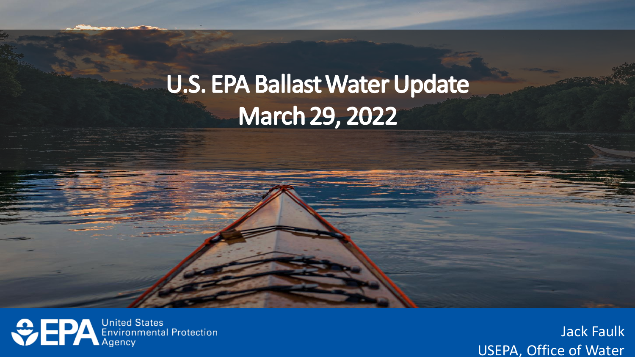## **U.S. EPA Ballast Water Update March 29, 2022**

**CONTRACTES** Environmental Protection

de Caully<br>مالیندہ کا مدا www.uswateralliance.org Jack Faulk USEPA, Office of Water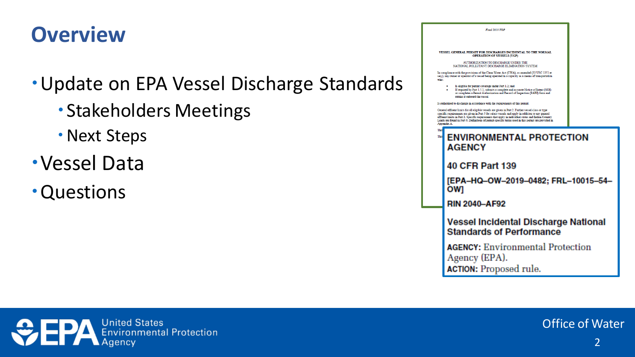## **Overview**

### Update on EPA Vessel Discharge Standards

- Stakeholders Meetings
- Next Steps
- Vessel Data
- Questions



Final 2013 VGI



2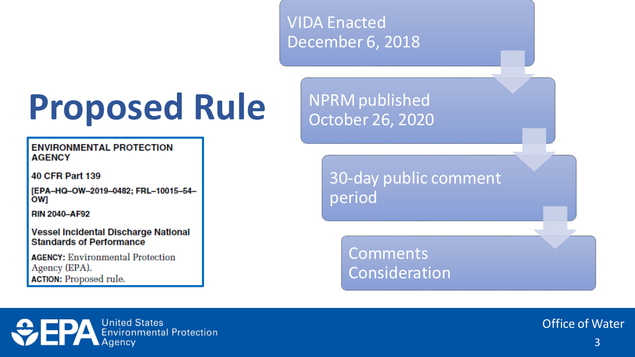VIDA Enacted December 6, 2018

# **Proposed Rule**

**ENVIRONMENTAL PROTECTION AGENCY** 

**40 CFR Part 139** 

[EPA-HQ-OW-2019-0482; FRL-10015-54ow

**RIN 2040-AF92** 

Vessel Incidental Discharge National **Standards of Performance** 

**AGENCY: Environmental Protection** Agency (EPA). **ACTION:** Proposed rule.

NPRM published October 26, 2020

> 30-day public comment period

> > **Comments** Consideration

**ODERA** Environmental Protection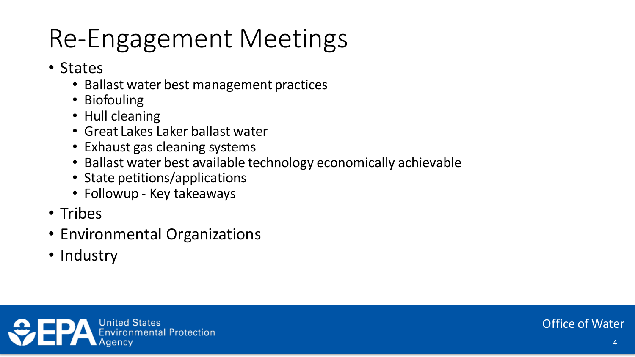## Re-Engagement Meetings

- States
	- Ballast water best management practices
	- Biofouling
	- Hull cleaning
	- Great Lakes Laker ballast water
	- Exhaust gas cleaning systems
	- Ballast water best available technology economically achievable
	- State petitions/applications
	- Followup Key takeaways
- Tribes
- Environmental Organizations
- Industry

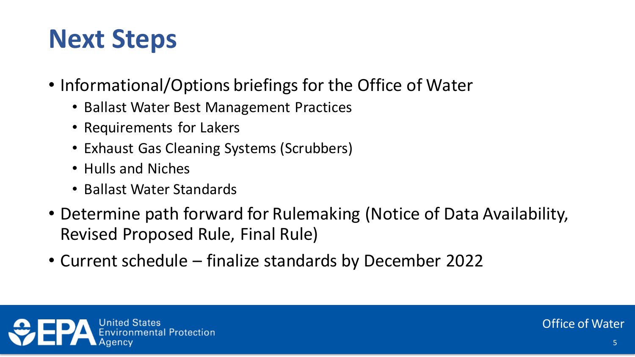## **Next Steps**

- Informational/Options briefings for the Office of Water
	- Ballast Water Best Management Practices
	- Requirements for Lakers
	- Exhaust Gas Cleaning Systems (Scrubbers)
	- Hulls and Niches
	- Ballast Water Standards
- Determine path forward for Rulemaking (Notice of Data Availability, Revised Proposed Rule, Final Rule)
- Current schedule finalize standards by December 2022

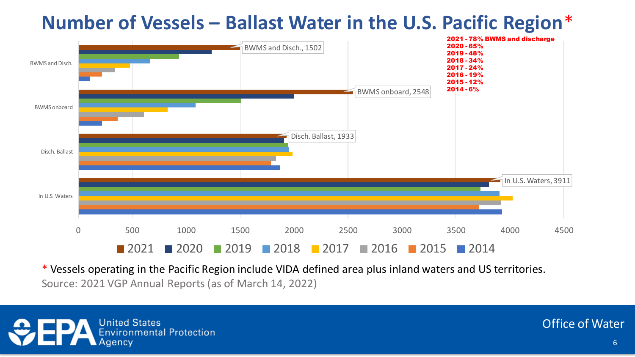### **Number of Vessels – Ballast Water in the U.S. Pacific Region**\*



\* Vessels operating in the Pacific Region include VIDA defined area plus inland waters and US territories. Source: 2021 VGP Annual Reports (as of March 14, 2022)

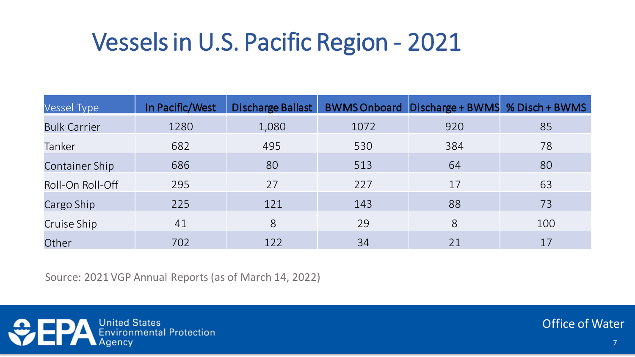## Vessels in U.S. Pacific Region - 2021

| <b>Vessel Type</b>    | In Pacific/West | Discharge Ballast |      | BWMS Onboard Discharge + BWMS % Disch + BWMS |     |
|-----------------------|-----------------|-------------------|------|----------------------------------------------|-----|
| <b>Bulk Carrier</b>   | 1280            | 1,080             | 1072 | 920                                          | 85  |
| Tanker                | 682             | 495               | 530  | 384                                          | 78  |
| <b>Container Ship</b> | 686             | 80                | 513  | 64                                           | 80  |
| Roll-On Roll-Off      | 295             | 27                | 227  | 17                                           | 63  |
| Cargo Ship            | 225             | 121               | 143  | 88                                           | 73  |
| Cruise Ship           | 41              | 8                 | 29   | 8                                            | 100 |
| Other                 | 702             | 122               | 34   | 21                                           | 17  |

Source: 2021 VGP Annual Reports (as of March 14, 2022)

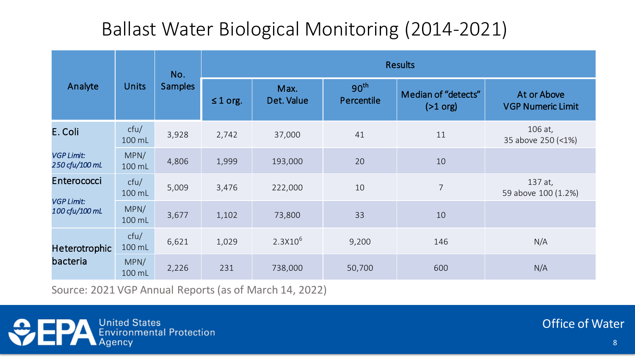### Ballast Water Biological Monitoring (2014-2021)

|                                     | <b>Units</b>   | No.<br><b>Samples</b> | <b>Results</b> |                    |                                |                                   |                                         |
|-------------------------------------|----------------|-----------------------|----------------|--------------------|--------------------------------|-----------------------------------|-----------------------------------------|
| Analyte                             |                |                       | $\leq 1$ org.  | Max.<br>Det. Value | 90 <sup>th</sup><br>Percentile | Median of "detects"<br>$(>1$ org) | At or Above<br><b>VGP Numeric Limit</b> |
| E. Coli                             | cfu/<br>100 mL | 3,928                 | 2,742          | 37,000             | 41                             | 11                                | 106 at,<br>35 above 250 (<1%)           |
| <b>VGP Limit:</b><br>250 cfu/100 mL | MPN/<br>100 mL | 4,806                 | 1,999          | 193,000            | 20                             | 10                                |                                         |
| Enterococci                         | ctu/<br>100 mL | 5,009                 | 3,476          | 222,000            | 10                             | $\overline{7}$                    | 137 at,<br>59 above 100 (1.2%)          |
| <b>VGP Limit:</b><br>100 cfu/100 mL | MPN/<br>100 mL | 3,677                 | 1,102          | 73,800             | 33                             | 10                                |                                         |
| <b>Heterotrophic</b><br>bacteria    | cfu/<br>100 mL | 6,621                 | 1,029          | $2.3X10^{6}$       | 9,200                          | 146                               | N/A                                     |
|                                     | MPN/<br>100 mL | 2,226                 | 231            | 738,000            | 50,700                         | 600                               | N/A                                     |

Source: 2021 VGP Annual Reports (as of March 14, 2022)

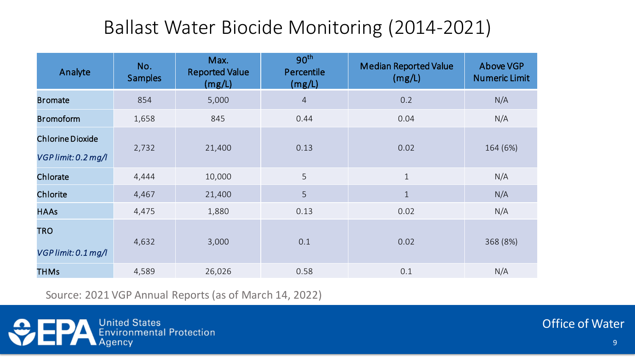### Ballast Water Biocide Monitoring (2014-2021)

| Analyte                                        | No.<br><b>Samples</b> | Max.<br><b>Reported Value</b><br>(mg/L) | 90 <sup>th</sup><br>Percentile<br>(mg/L) | <b>Median Reported Value</b><br>(mg/L) | Above VGP<br><b>Numeric Limit</b> |
|------------------------------------------------|-----------------------|-----------------------------------------|------------------------------------------|----------------------------------------|-----------------------------------|
| <b>Bromate</b>                                 | 854                   | 5,000                                   | $\overline{4}$                           | 0.2                                    | N/A                               |
| <b>Bromoform</b>                               | 1,658                 | 845                                     | 0.44                                     | 0.04                                   | N/A                               |
| <b>Chlorine Dioxide</b><br>VGP limit: 0.2 mg/l | 2,732                 | 21,400                                  | 0.13                                     | 0.02                                   | 164 (6%)                          |
| Chlorate                                       | 4,444                 | 10,000                                  | 5                                        | $\mathbf{1}$                           | N/A                               |
| Chlorite                                       | 4,467                 | 21,400                                  | 5                                        | $\mathbf{1}$                           | N/A                               |
| <b>HAAs</b>                                    | 4,475                 | 1,880                                   | 0.13                                     | 0.02                                   | N/A                               |
| <b>TRO</b><br>$VGP$ limit: 0.1 mg/l            | 4,632                 | 3,000                                   | 0.1                                      | 0.02                                   | 368 (8%)                          |
| <b>THMs</b>                                    | 4,589                 | 26,026                                  | 0.58                                     | 0.1                                    | N/A                               |

Source: 2021 VGP Annual Reports (as of March 14, 2022)

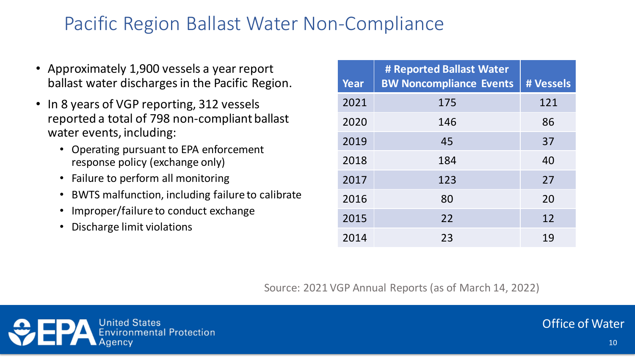### Pacific Region Ballast Water Non-Compliance

- Approximately 1,900 vessels a year report ballast water discharges in the Pacific Region.
- In 8 years of VGP reporting, 312 vessels reported a total of 798 non-compliant ballast water events, including:
	- Operating pursuant to EPA enforcement response policy (exchange only)
	- Failure to perform all monitoring
	- BWTS malfunction, including failure to calibrate
	- Improper/failure to conduct exchange
	- Discharge limit violations

| Year | # Reported Ballast Water<br><b>BW Noncompliance Events</b> | # Vessels |
|------|------------------------------------------------------------|-----------|
| 2021 | 175                                                        | 121       |
| 2020 | 146                                                        | 86        |
| 2019 | 45                                                         | 37        |
| 2018 | 184                                                        | 40        |
| 2017 | 123                                                        | 27        |
| 2016 | 80                                                         | 20        |
| 2015 | 22                                                         | 12        |
| 2014 | 23                                                         | 19        |

Source: 2021 VGP Annual Reports (as of March 14, 2022)

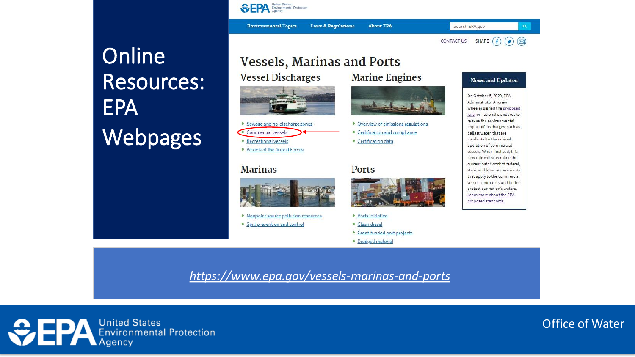**Online** Resources: EPA Webpages

#### **Vessels, Marinas and Ports**

**Laws & Regulations** 

**Vessel Discharges** 

**SEPA** Environmental Protection

**Environmental Topics** 





· Recreational vessels

· Vessels of the Armed Forces

#### **Marinas**



. Nonpoint source pollution resources

· Spill prevention and control

#### • Overview of emissions regulations • Certification and compliance · Certification data

**Marine Engines** 

**About EPA** 

#### **Ports**



#### · Ports Initiative

- · Clean diesel
- · Grant-funded port projects
- · Dredged material

#### **News and Updates**

SHARE  $(f)$ 

 $\odot$ 

Search EPA.gov

CONTACT US

On October 5, 2020, EPA Administrator Andrew Wheeler signed the proposed rule for national standards to reduce the environmental impact of discharges, such as ballast water, that are incidental to the normal operation of commercial vessels. When finalized, this new rule will streamline the current patchwork of federal. state, and local requirements that apply to the commercial vessel community and better protect our nation's waters. Learn more about the EPA proposed standards.

*<https://www.epa.gov/vessels-marinas-and-ports>*